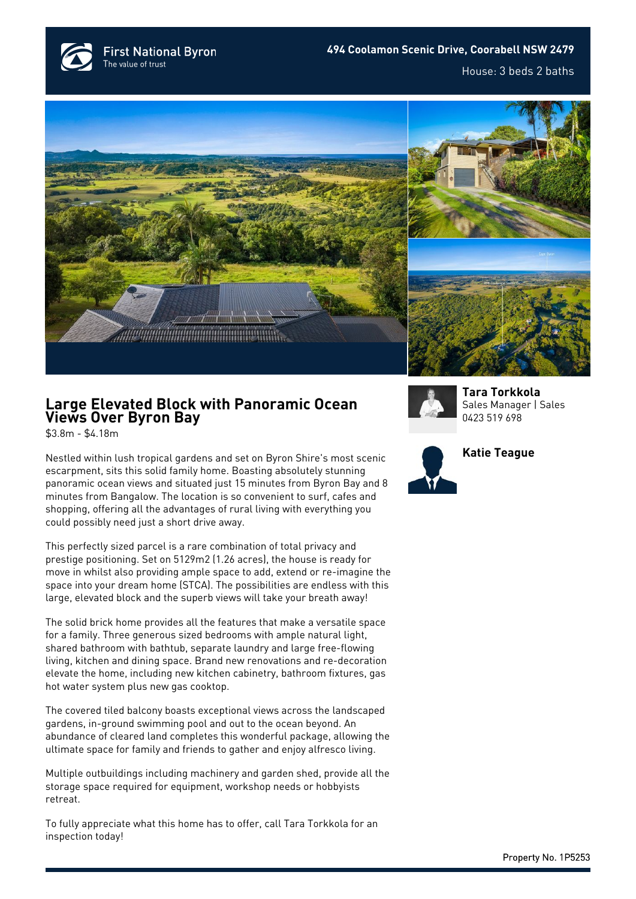



## **Large Elevated Block with Panoramic Ocean Views Over Byron Bay**

\$3.8m - \$4.18m

Nestled within lush tropical gardens and set on Byron Shire's most scenic escarpment, sits this solid family home. Boasting absolutely stunning panoramic ocean views and situated just 15 minutes from Byron Bay and 8 minutes from Bangalow. The location is so convenient to surf, cafes and shopping, offering all the advantages of rural living with everything you could possibly need just a short drive away.

This perfectly sized parcel is a rare combination of total privacy and prestige positioning. Set on 5129m2 (1.26 acres), the house is ready for move in whilst also providing ample space to add, extend or re-imagine the space into your dream home (STCA). The possibilities are endless with this large, elevated block and the superb views will take your breath away!

The solid brick home provides all the features that make a versatile space for a family. Three generous sized bedrooms with ample natural light, shared bathroom with bathtub, separate laundry and large free-flowing living, kitchen and dining space. Brand new renovations and re-decoration elevate the home, including new kitchen cabinetry, bathroom fixtures, gas hot water system plus new gas cooktop.

The covered tiled balcony boasts exceptional views across the landscaped gardens, in-ground swimming pool and out to the ocean beyond. An abundance of cleared land completes this wonderful package, allowing the ultimate space for family and friends to gather and enjoy alfresco living.

Multiple outbuildings including machinery and garden shed, provide all the storage space required for equipment, workshop needs or hobbyists retreat.

To fully appreciate what this home has to offer, call Tara Torkkola for an inspection today!



**[Tara Torkkola](https://www.byronbayfn.com.au/agents/tara-torkkola/)** Sales Manager | Sales [0423 519 698](#page--1-0)

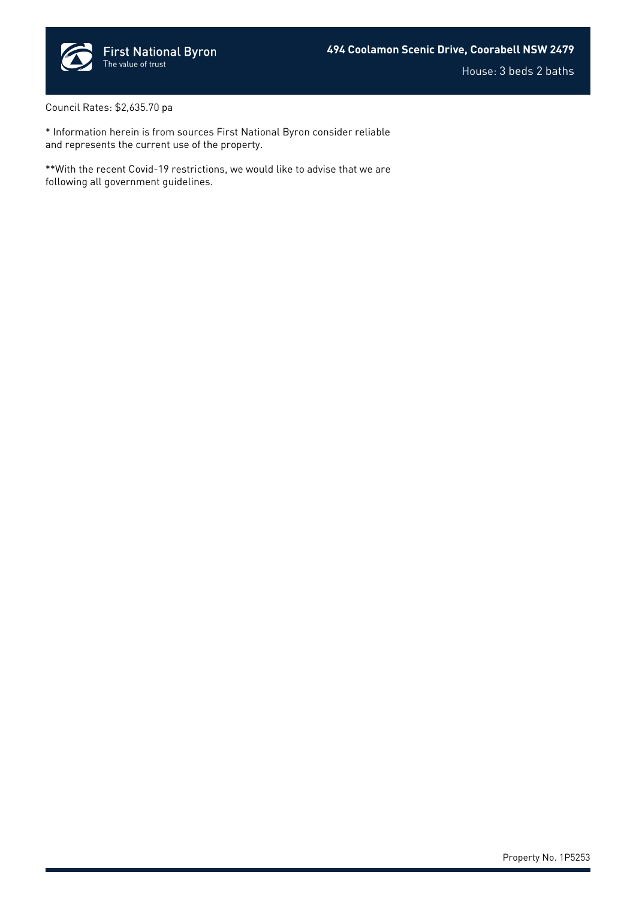

House: 3 beds 2 baths

Council Rates: \$2,635.70 pa

\* Information herein is from sources First National Byron consider reliable and represents the current use of the property.

\*\*With the recent Covid-19 restrictions, we would like to advise that we are following all government guidelines.